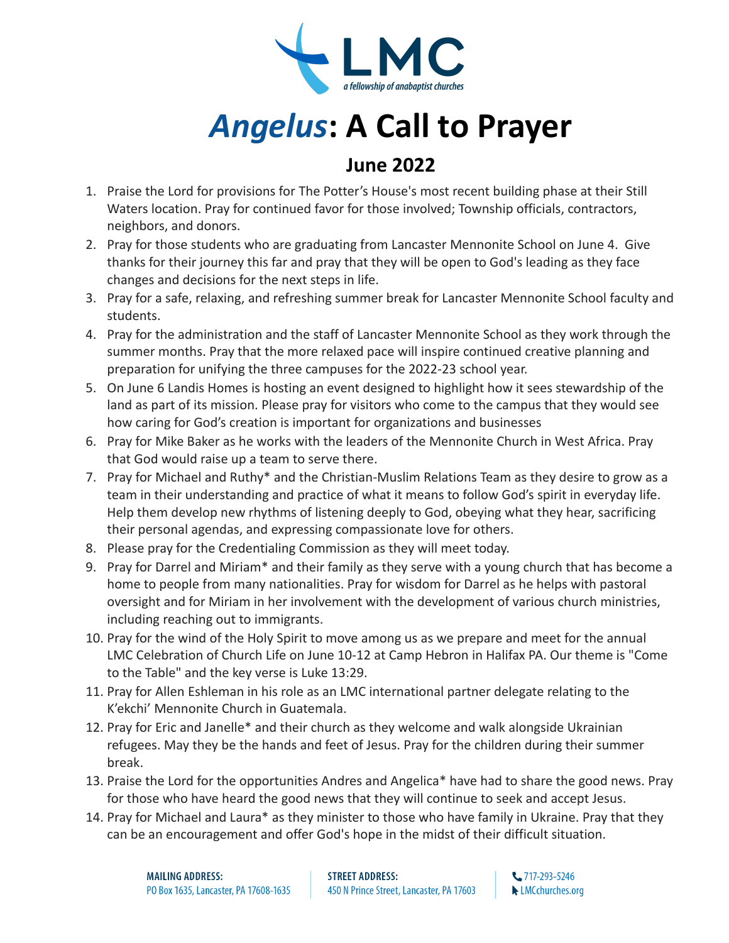

## *Angelus***: A Call to Prayer**

## **June 2022**

- 1. Praise the Lord for provisions for The Potter's House's most recent building phase at their Still Waters location. Pray for continued favor for those involved; Township officials, contractors, neighbors, and donors.
- 2. Pray for those students who are graduating from Lancaster Mennonite School on June 4. Give thanks for their journey this far and pray that they will be open to God's leading as they face changes and decisions for the next steps in life.
- 3. Pray for a safe, relaxing, and refreshing summer break for Lancaster Mennonite School faculty and students.
- 4. Pray for the administration and the staff of Lancaster Mennonite School as they work through the summer months. Pray that the more relaxed pace will inspire continued creative planning and preparation for unifying the three campuses for the 2022-23 school year.
- 5. On June 6 Landis Homes is hosting an event designed to highlight how it sees stewardship of the land as part of its mission. Please pray for visitors who come to the campus that they would see how caring for God's creation is important for organizations and businesses
- 6. Pray for Mike Baker as he works with the leaders of the Mennonite Church in West Africa. Pray that God would raise up a team to serve there.
- 7. Pray for Michael and Ruthy\* and the Christian-Muslim Relations Team as they desire to grow as a team in their understanding and practice of what it means to follow God's spirit in everyday life. Help them develop new rhythms of listening deeply to God, obeying what they hear, sacrificing their personal agendas, and expressing compassionate love for others.
- 8. Please pray for the Credentialing Commission as they will meet today.
- 9. Pray for Darrel and Miriam\* and their family as they serve with a young church that has become a home to people from many nationalities. Pray for wisdom for Darrel as he helps with pastoral oversight and for Miriam in her involvement with the development of various church ministries, including reaching out to immigrants.
- 10. Pray for the wind of the Holy Spirit to move among us as we prepare and meet for the annual LMC Celebration of Church Life on June 10-12 at Camp Hebron in Halifax PA. Our theme is "Come to the Table" and the key verse is Luke 13:29.
- 11. Pray for Allen Eshleman in his role as an LMC international partner delegate relating to the K'ekchi' Mennonite Church in Guatemala.
- 12. Pray for Eric and Janelle\* and their church as they welcome and walk alongside Ukrainian refugees. May they be the hands and feet of Jesus. Pray for the children during their summer break.
- 13. Praise the Lord for the opportunities Andres and Angelica\* have had to share the good news. Pray for those who have heard the good news that they will continue to seek and accept Jesus.
- 14. Pray for Michael and Laura\* as they minister to those who have family in Ukraine. Pray that they can be an encouragement and offer God's hope in the midst of their difficult situation.